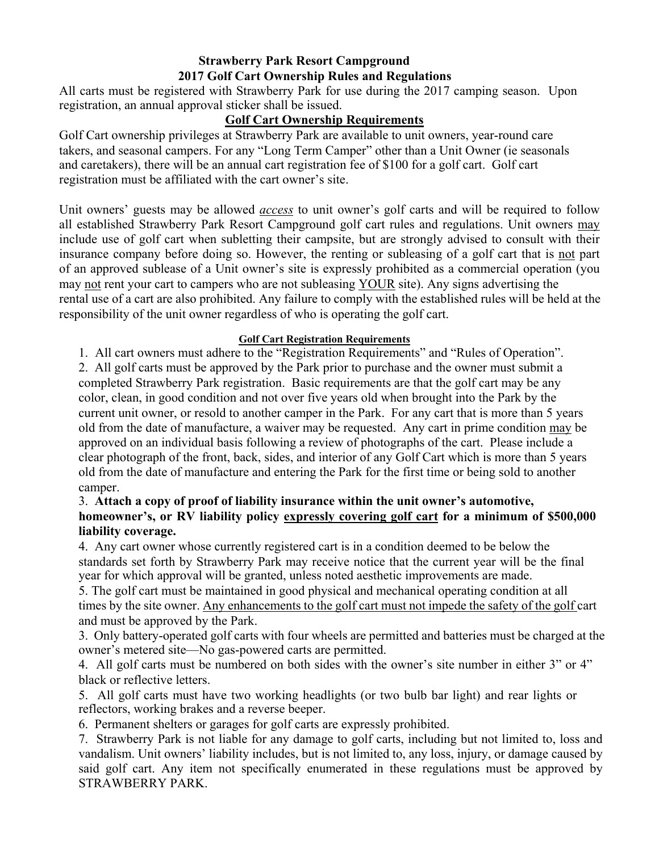# **Strawberry Park Resort Campground 2017 Golf Cart Ownership Rules and Regulations**

All carts must be registered with Strawberry Park for use during the 2017 camping season. Upon registration, an annual approval sticker shall be issued.

## **Golf Cart Ownership Requirements**

Golf Cart ownership privileges at Strawberry Park are available to unit owners, year-round care takers, and seasonal campers. For any "Long Term Camper" other than a Unit Owner (ie seasonals and caretakers), there will be an annual cart registration fee of \$100 for a golf cart. Golf cart registration must be affiliated with the cart owner's site.

Unit owners' guests may be allowed *access* to unit owner's golf carts and will be required to follow all established Strawberry Park Resort Campground golf cart rules and regulations. Unit owners may include use of golf cart when subletting their campsite, but are strongly advised to consult with their insurance company before doing so. However, the renting or subleasing of a golf cart that is not part of an approved sublease of a Unit owner's site is expressly prohibited as a commercial operation (you may not rent your cart to campers who are not subleasing YOUR site). Any signs advertising the rental use of a cart are also prohibited. Any failure to comply with the established rules will be held at the responsibility of the unit owner regardless of who is operating the golf cart.

#### **Golf Cart Registration Requirements**

1. All cart owners must adhere to the "Registration Requirements" and "Rules of Operation".

2. All golf carts must be approved by the Park prior to purchase and the owner must submit a completed Strawberry Park registration. Basic requirements are that the golf cart may be any color, clean, in good condition and not over five years old when brought into the Park by the current unit owner, or resold to another camper in the Park. For any cart that is more than 5 years old from the date of manufacture, a waiver may be requested. Any cart in prime condition may be approved on an individual basis following a review of photographs of the cart. Please include a clear photograph of the front, back, sides, and interior of any Golf Cart which is more than 5 years old from the date of manufacture and entering the Park for the first time or being sold to another camper.

## 3. **Attach a copy of proof of liability insurance within the unit owner's automotive, homeowner's, or RV liability policy expressly covering golf cart for a minimum of \$500,000 liability coverage.**

4. Any cart owner whose currently registered cart is in a condition deemed to be below the standards set forth by Strawberry Park may receive notice that the current year will be the final year for which approval will be granted, unless noted aesthetic improvements are made.

5. The golf cart must be maintained in good physical and mechanical operating condition at all times by the site owner. Any enhancements to the golf cart must not impede the safety of the golf cart and must be approved by the Park.

3. Only battery-operated golf carts with four wheels are permitted and batteries must be charged at the owner's metered site—No gas-powered carts are permitted.

4. All golf carts must be numbered on both sides with the owner's site number in either 3" or 4" black or reflective letters.

5. All golf carts must have two working headlights (or two bulb bar light) and rear lights or reflectors, working brakes and a reverse beeper.

6. Permanent shelters or garages for golf carts are expressly prohibited.

7. Strawberry Park is not liable for any damage to golf carts, including but not limited to, loss and vandalism. Unit owners' liability includes, but is not limited to, any loss, injury, or damage caused by said golf cart. Any item not specifically enumerated in these regulations must be approved by STRAWBERRY PARK.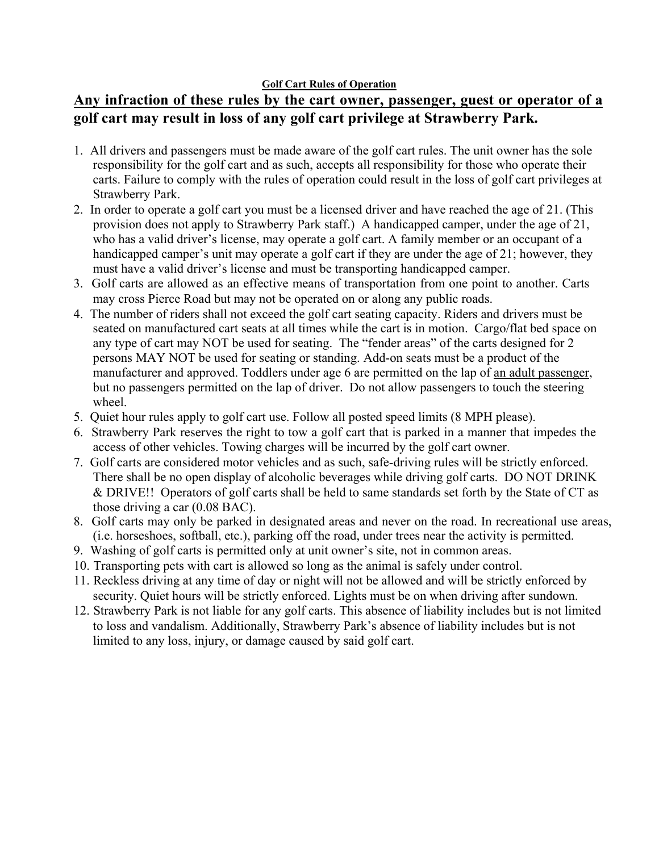#### **Golf Cart Rules of Operation**

# **Any infraction of these rules by the cart owner, passenger, guest or operator of a golf cart may result in loss of any golf cart privilege at Strawberry Park.**

- 1. All drivers and passengers must be made aware of the golf cart rules. The unit owner has the sole responsibility for the golf cart and as such, accepts all responsibility for those who operate their carts. Failure to comply with the rules of operation could result in the loss of golf cart privileges at Strawberry Park.
- 2. In order to operate a golf cart you must be a licensed driver and have reached the age of 21. (This provision does not apply to Strawberry Park staff.) A handicapped camper, under the age of 21, who has a valid driver's license, may operate a golf cart. A family member or an occupant of a handicapped camper's unit may operate a golf cart if they are under the age of 21; however, they must have a valid driver's license and must be transporting handicapped camper.
- 3. Golf carts are allowed as an effective means of transportation from one point to another. Carts may cross Pierce Road but may not be operated on or along any public roads.
- 4. The number of riders shall not exceed the golf cart seating capacity. Riders and drivers must be seated on manufactured cart seats at all times while the cart is in motion. Cargo/flat bed space on any type of cart may NOT be used for seating. The "fender areas" of the carts designed for 2 persons MAY NOT be used for seating or standing. Add-on seats must be a product of the manufacturer and approved. Toddlers under age 6 are permitted on the lap of an adult passenger, but no passengers permitted on the lap of driver. Do not allow passengers to touch the steering wheel.
- 5. Quiet hour rules apply to golf cart use. Follow all posted speed limits (8 MPH please).
- 6. Strawberry Park reserves the right to tow a golf cart that is parked in a manner that impedes the access of other vehicles. Towing charges will be incurred by the golf cart owner.
- 7. Golf carts are considered motor vehicles and as such, safe-driving rules will be strictly enforced. There shall be no open display of alcoholic beverages while driving golf carts. DO NOT DRINK & DRIVE!! Operators of golf carts shall be held to same standards set forth by the State of CT as those driving a car (0.08 BAC).
- 8. Golf carts may only be parked in designated areas and never on the road. In recreational use areas, (i.e. horseshoes, softball, etc.), parking off the road, under trees near the activity is permitted.
- 9. Washing of golf carts is permitted only at unit owner's site, not in common areas.
- 10. Transporting pets with cart is allowed so long as the animal is safely under control.
- 11. Reckless driving at any time of day or night will not be allowed and will be strictly enforced by security. Quiet hours will be strictly enforced. Lights must be on when driving after sundown.
- 12. Strawberry Park is not liable for any golf carts. This absence of liability includes but is not limited to loss and vandalism. Additionally, Strawberry Park's absence of liability includes but is not limited to any loss, injury, or damage caused by said golf cart.